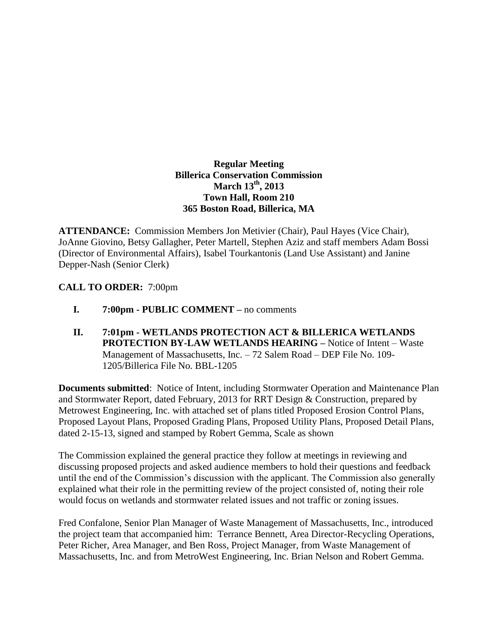## **Regular Meeting Billerica Conservation Commission March 13th , 2013 Town Hall, Room 210 365 Boston Road, Billerica, MA**

**ATTENDANCE:** Commission Members Jon Metivier (Chair), Paul Hayes (Vice Chair), JoAnne Giovino, Betsy Gallagher, Peter Martell, Stephen Aziz and staff members Adam Bossi (Director of Environmental Affairs), Isabel Tourkantonis (Land Use Assistant) and Janine Depper-Nash (Senior Clerk)

## **CALL TO ORDER:** 7:00pm

- **I. 7:00pm - PUBLIC COMMENT –** no comments
- **II. 7:01pm - WETLANDS PROTECTION ACT & BILLERICA WETLANDS PROTECTION BY-LAW WETLANDS HEARING –** Notice of Intent – Waste Management of Massachusetts, Inc. – 72 Salem Road – DEP File No. 109- 1205/Billerica File No. BBL-1205

**Documents submitted**: Notice of Intent, including Stormwater Operation and Maintenance Plan and Stormwater Report, dated February, 2013 for RRT Design & Construction, prepared by Metrowest Engineering, Inc. with attached set of plans titled Proposed Erosion Control Plans, Proposed Layout Plans, Proposed Grading Plans, Proposed Utility Plans, Proposed Detail Plans, dated 2-15-13, signed and stamped by Robert Gemma, Scale as shown

The Commission explained the general practice they follow at meetings in reviewing and discussing proposed projects and asked audience members to hold their questions and feedback until the end of the Commission's discussion with the applicant. The Commission also generally explained what their role in the permitting review of the project consisted of, noting their role would focus on wetlands and stormwater related issues and not traffic or zoning issues.

Fred Confalone, Senior Plan Manager of Waste Management of Massachusetts, Inc., introduced the project team that accompanied him: Terrance Bennett, Area Director-Recycling Operations, Peter Richer, Area Manager, and Ben Ross, Project Manager, from Waste Management of Massachusetts, Inc. and from MetroWest Engineering, Inc. Brian Nelson and Robert Gemma.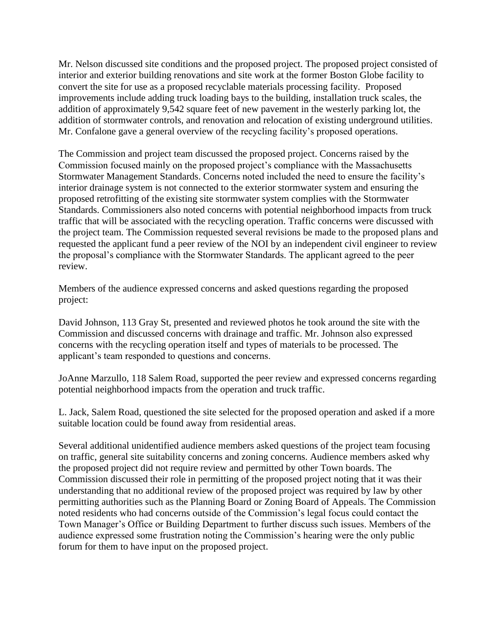Mr. Nelson discussed site conditions and the proposed project. The proposed project consisted of interior and exterior building renovations and site work at the former Boston Globe facility to convert the site for use as a proposed recyclable materials processing facility. Proposed improvements include adding truck loading bays to the building, installation truck scales, the addition of approximately 9,542 square feet of new pavement in the westerly parking lot, the addition of stormwater controls, and renovation and relocation of existing underground utilities. Mr. Confalone gave a general overview of the recycling facility's proposed operations.

The Commission and project team discussed the proposed project. Concerns raised by the Commission focused mainly on the proposed project's compliance with the Massachusetts Stormwater Management Standards. Concerns noted included the need to ensure the facility's interior drainage system is not connected to the exterior stormwater system and ensuring the proposed retrofitting of the existing site stormwater system complies with the Stormwater Standards. Commissioners also noted concerns with potential neighborhood impacts from truck traffic that will be associated with the recycling operation. Traffic concerns were discussed with the project team. The Commission requested several revisions be made to the proposed plans and requested the applicant fund a peer review of the NOI by an independent civil engineer to review the proposal's compliance with the Stormwater Standards. The applicant agreed to the peer review.

Members of the audience expressed concerns and asked questions regarding the proposed project:

David Johnson, 113 Gray St, presented and reviewed photos he took around the site with the Commission and discussed concerns with drainage and traffic. Mr. Johnson also expressed concerns with the recycling operation itself and types of materials to be processed. The applicant's team responded to questions and concerns.

JoAnne Marzullo, 118 Salem Road, supported the peer review and expressed concerns regarding potential neighborhood impacts from the operation and truck traffic.

L. Jack, Salem Road, questioned the site selected for the proposed operation and asked if a more suitable location could be found away from residential areas.

Several additional unidentified audience members asked questions of the project team focusing on traffic, general site suitability concerns and zoning concerns. Audience members asked why the proposed project did not require review and permitted by other Town boards. The Commission discussed their role in permitting of the proposed project noting that it was their understanding that no additional review of the proposed project was required by law by other permitting authorities such as the Planning Board or Zoning Board of Appeals. The Commission noted residents who had concerns outside of the Commission's legal focus could contact the Town Manager's Office or Building Department to further discuss such issues. Members of the audience expressed some frustration noting the Commission's hearing were the only public forum for them to have input on the proposed project.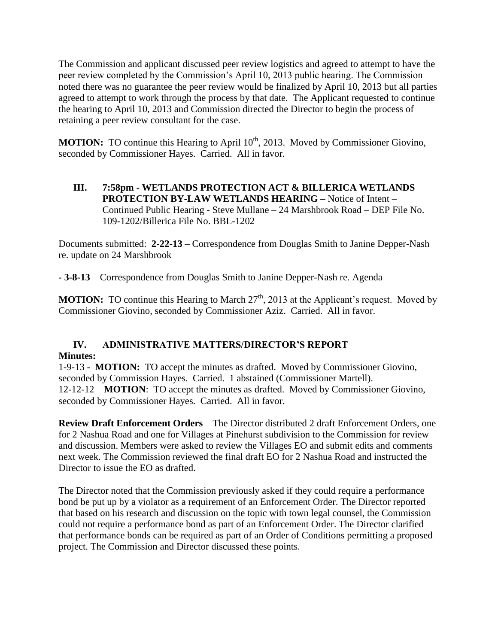The Commission and applicant discussed peer review logistics and agreed to attempt to have the peer review completed by the Commission's April 10, 2013 public hearing. The Commission noted there was no guarantee the peer review would be finalized by April 10, 2013 but all parties agreed to attempt to work through the process by that date. The Applicant requested to continue the hearing to April 10, 2013 and Commission directed the Director to begin the process of retaining a peer review consultant for the case.

**MOTION:** TO continue this Hearing to April 10<sup>th</sup>, 2013. Moved by Commissioner Giovino, seconded by Commissioner Hayes. Carried. All in favor.

**III. 7:58pm - WETLANDS PROTECTION ACT & BILLERICA WETLANDS PROTECTION BY-LAW WETLANDS HEARING –** Notice of Intent – Continued Public Hearing - Steve Mullane – 24 Marshbrook Road – DEP File No. 109-1202/Billerica File No. BBL-1202

Documents submitted: **2-22-13** – Correspondence from Douglas Smith to Janine Depper-Nash re. update on 24 Marshbrook

**- 3-8-13** – Correspondence from Douglas Smith to Janine Depper-Nash re. Agenda

**MOTION:** TO continue this Hearing to March  $27<sup>th</sup>$ , 2013 at the Applicant's request. Moved by Commissioner Giovino, seconded by Commissioner Aziz. Carried. All in favor.

## **IV. ADMINISTRATIVE MATTERS/DIRECTOR'S REPORT Minutes:**

1-9-13 - **MOTION:** TO accept the minutes as drafted. Moved by Commissioner Giovino, seconded by Commission Hayes. Carried. 1 abstained (Commissioner Martell). 12-12-12 – **MOTION**: TO accept the minutes as drafted. Moved by Commissioner Giovino, seconded by Commissioner Hayes. Carried. All in favor.

**Review Draft Enforcement Orders** – The Director distributed 2 draft Enforcement Orders, one for 2 Nashua Road and one for Villages at Pinehurst subdivision to the Commission for review and discussion. Members were asked to review the Villages EO and submit edits and comments next week. The Commission reviewed the final draft EO for 2 Nashua Road and instructed the Director to issue the EO as drafted.

The Director noted that the Commission previously asked if they could require a performance bond be put up by a violator as a requirement of an Enforcement Order. The Director reported that based on his research and discussion on the topic with town legal counsel, the Commission could not require a performance bond as part of an Enforcement Order. The Director clarified that performance bonds can be required as part of an Order of Conditions permitting a proposed project. The Commission and Director discussed these points.